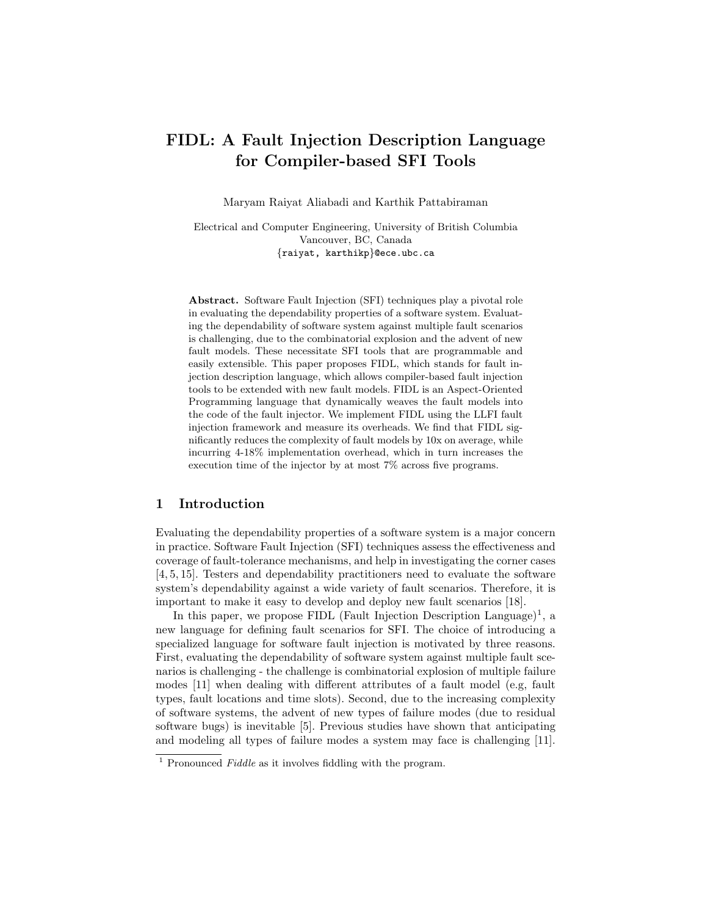# FIDL: A Fault Injection Description Language for Compiler-based SFI Tools

Maryam Raiyat Aliabadi and Karthik Pattabiraman

Electrical and Computer Engineering, University of British Columbia Vancouver, BC, Canada {raiyat, karthikp}@ece.ubc.ca

Abstract. Software Fault Injection (SFI) techniques play a pivotal role in evaluating the dependability properties of a software system. Evaluating the dependability of software system against multiple fault scenarios is challenging, due to the combinatorial explosion and the advent of new fault models. These necessitate SFI tools that are programmable and easily extensible. This paper proposes FIDL, which stands for fault injection description language, which allows compiler-based fault injection tools to be extended with new fault models. FIDL is an Aspect-Oriented Programming language that dynamically weaves the fault models into the code of the fault injector. We implement FIDL using the LLFI fault injection framework and measure its overheads. We find that FIDL significantly reduces the complexity of fault models by 10x on average, while incurring 4-18% implementation overhead, which in turn increases the execution time of the injector by at most 7% across five programs.

## 1 Introduction

Evaluating the dependability properties of a software system is a major concern in practice. Software Fault Injection (SFI) techniques assess the effectiveness and coverage of fault-tolerance mechanisms, and help in investigating the corner cases [4, 5, 15]. Testers and dependability practitioners need to evaluate the software system's dependability against a wide variety of fault scenarios. Therefore, it is important to make it easy to develop and deploy new fault scenarios [18].

In this paper, we propose FIDL (Fault Injection Description Language)<sup>1</sup>, a new language for defining fault scenarios for SFI. The choice of introducing a specialized language for software fault injection is motivated by three reasons. First, evaluating the dependability of software system against multiple fault scenarios is challenging - the challenge is combinatorial explosion of multiple failure modes [11] when dealing with different attributes of a fault model (e.g, fault types, fault locations and time slots). Second, due to the increasing complexity of software systems, the advent of new types of failure modes (due to residual software bugs) is inevitable [5]. Previous studies have shown that anticipating and modeling all types of failure modes a system may face is challenging [11].

 $1$  Pronounced Fiddle as it involves fiddling with the program.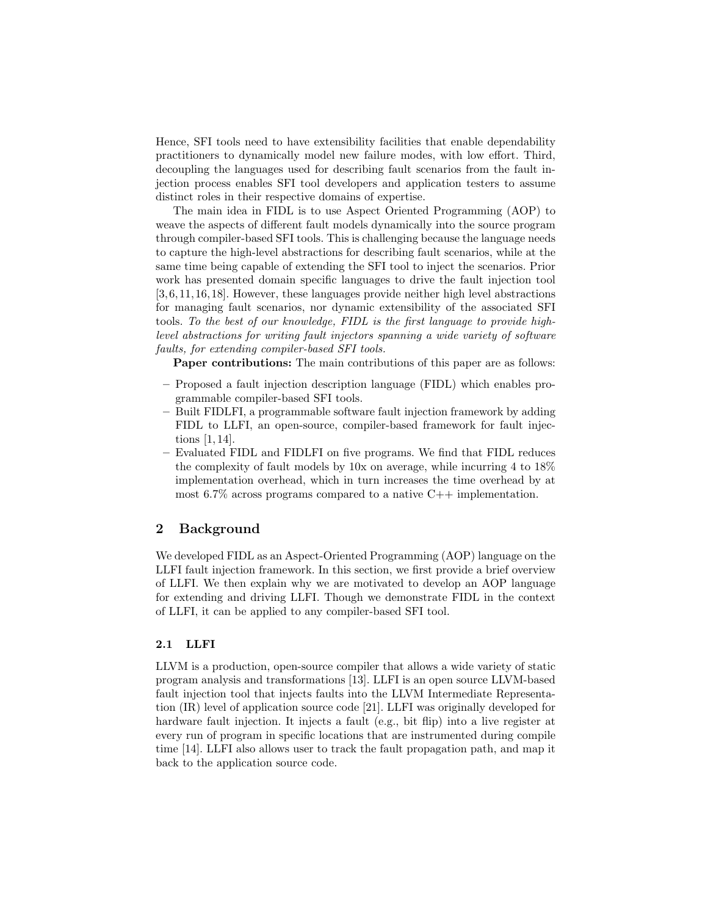Hence, SFI tools need to have extensibility facilities that enable dependability practitioners to dynamically model new failure modes, with low effort. Third, decoupling the languages used for describing fault scenarios from the fault injection process enables SFI tool developers and application testers to assume distinct roles in their respective domains of expertise.

The main idea in FIDL is to use Aspect Oriented Programming (AOP) to weave the aspects of different fault models dynamically into the source program through compiler-based SFI tools. This is challenging because the language needs to capture the high-level abstractions for describing fault scenarios, while at the same time being capable of extending the SFI tool to inject the scenarios. Prior work has presented domain specific languages to drive the fault injection tool [3, 6, 11, 16, 18]. However, these languages provide neither high level abstractions for managing fault scenarios, nor dynamic extensibility of the associated SFI tools. To the best of our knowledge, FIDL is the first language to provide highlevel abstractions for writing fault injectors spanning a wide variety of software faults, for extending compiler-based SFI tools.

Paper contributions: The main contributions of this paper are as follows:

- Proposed a fault injection description language (FIDL) which enables programmable compiler-based SFI tools.
- Built FIDLFI, a programmable software fault injection framework by adding FIDL to LLFI, an open-source, compiler-based framework for fault injections [1, 14].
- Evaluated FIDL and FIDLFI on five programs. We find that FIDL reduces the complexity of fault models by 10x on average, while incurring 4 to 18% implementation overhead, which in turn increases the time overhead by at most 6.7% across programs compared to a native  $C_{++}$  implementation.

# 2 Background

We developed FIDL as an Aspect-Oriented Programming (AOP) language on the LLFI fault injection framework. In this section, we first provide a brief overview of LLFI. We then explain why we are motivated to develop an AOP language for extending and driving LLFI. Though we demonstrate FIDL in the context of LLFI, it can be applied to any compiler-based SFI tool.

#### 2.1 LLFI

LLVM is a production, open-source compiler that allows a wide variety of static program analysis and transformations [13]. LLFI is an open source LLVM-based fault injection tool that injects faults into the LLVM Intermediate Representation (IR) level of application source code [21]. LLFI was originally developed for hardware fault injection. It injects a fault (e.g., bit flip) into a live register at every run of program in specific locations that are instrumented during compile time [14]. LLFI also allows user to track the fault propagation path, and map it back to the application source code.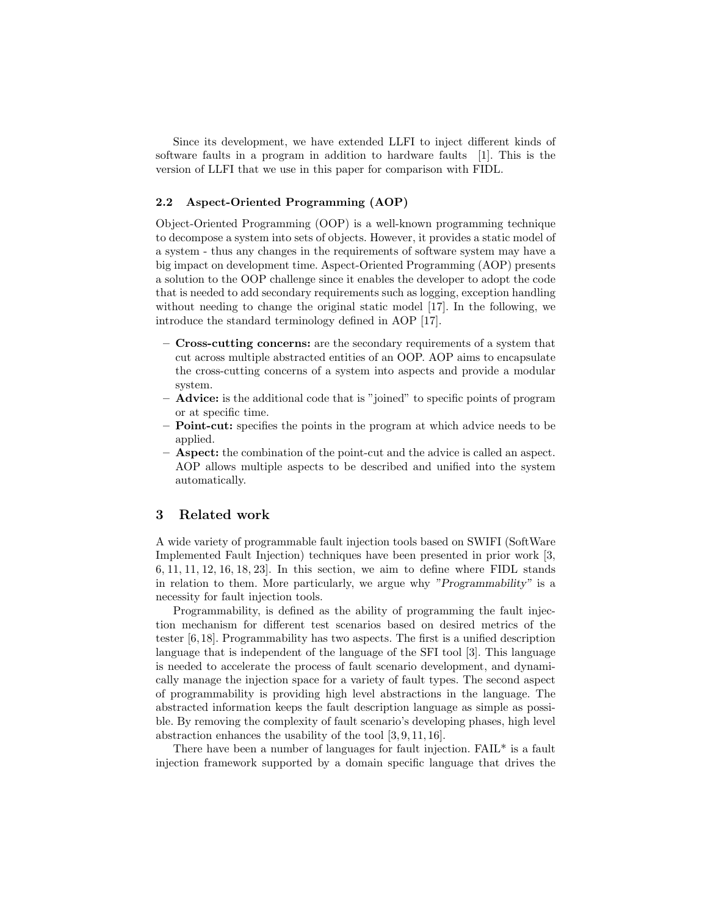Since its development, we have extended LLFI to inject different kinds of software faults in a program in addition to hardware faults [1]. This is the version of LLFI that we use in this paper for comparison with FIDL.

# 2.2 Aspect-Oriented Programming (AOP)

Object-Oriented Programming (OOP) is a well-known programming technique to decompose a system into sets of objects. However, it provides a static model of a system - thus any changes in the requirements of software system may have a big impact on development time. Aspect-Oriented Programming (AOP) presents a solution to the OOP challenge since it enables the developer to adopt the code that is needed to add secondary requirements such as logging, exception handling without needing to change the original static model [17]. In the following, we introduce the standard terminology defined in AOP [17].

- Cross-cutting concerns: are the secondary requirements of a system that cut across multiple abstracted entities of an OOP. AOP aims to encapsulate the cross-cutting concerns of a system into aspects and provide a modular system.
- Advice: is the additional code that is "joined" to specific points of program or at specific time.
- Point-cut: specifies the points in the program at which advice needs to be applied.
- Aspect: the combination of the point-cut and the advice is called an aspect. AOP allows multiple aspects to be described and unified into the system automatically.

## 3 Related work

A wide variety of programmable fault injection tools based on SWIFI (SoftWare Implemented Fault Injection) techniques have been presented in prior work [3, 6, 11, 11, 12, 16, 18, 23]. In this section, we aim to define where FIDL stands in relation to them. More particularly, we argue why "Programmability" is a necessity for fault injection tools.

Programmability, is defined as the ability of programming the fault injection mechanism for different test scenarios based on desired metrics of the tester [6, 18]. Programmability has two aspects. The first is a unified description language that is independent of the language of the SFI tool [3]. This language is needed to accelerate the process of fault scenario development, and dynamically manage the injection space for a variety of fault types. The second aspect of programmability is providing high level abstractions in the language. The abstracted information keeps the fault description language as simple as possible. By removing the complexity of fault scenario's developing phases, high level abstraction enhances the usability of the tool [3, 9, 11, 16].

There have been a number of languages for fault injection. FAIL\* is a fault injection framework supported by a domain specific language that drives the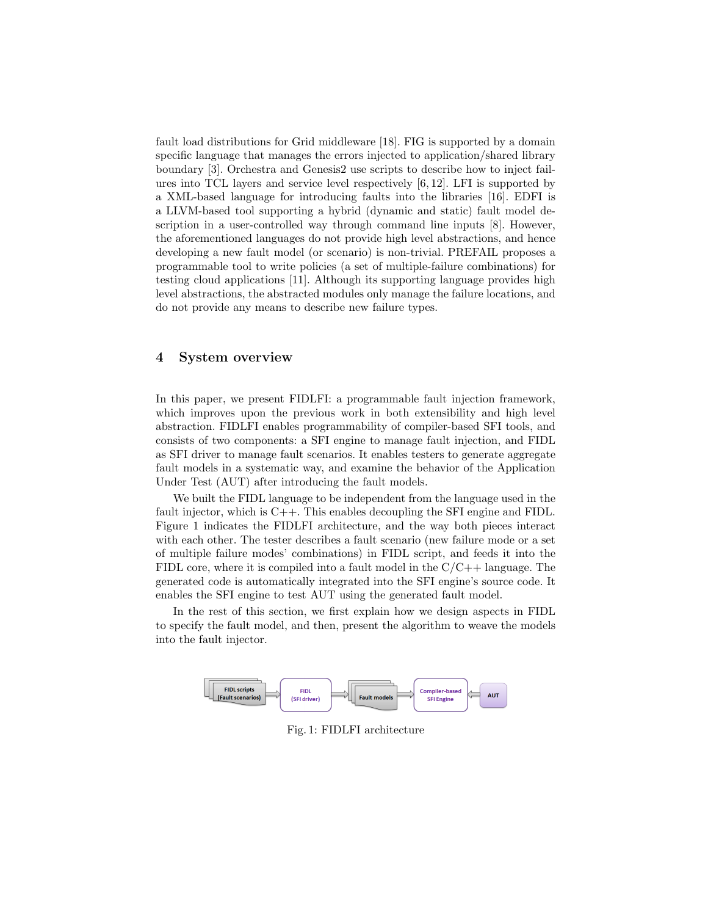fault load distributions for Grid middleware [18]. FIG is supported by a domain specific language that manages the errors injected to application/shared library boundary [3]. Orchestra and Genesis2 use scripts to describe how to inject failures into TCL layers and service level respectively [6, 12]. LFI is supported by a XML-based language for introducing faults into the libraries [16]. EDFI is a LLVM-based tool supporting a hybrid (dynamic and static) fault model description in a user-controlled way through command line inputs [8]. However, the aforementioned languages do not provide high level abstractions, and hence developing a new fault model (or scenario) is non-trivial. PREFAIL proposes a programmable tool to write policies (a set of multiple-failure combinations) for testing cloud applications [11]. Although its supporting language provides high level abstractions, the abstracted modules only manage the failure locations, and do not provide any means to describe new failure types.

# 4 System overview

In this paper, we present FIDLFI: a programmable fault injection framework, which improves upon the previous work in both extensibility and high level abstraction. FIDLFI enables programmability of compiler-based SFI tools, and consists of two components: a SFI engine to manage fault injection, and FIDL as SFI driver to manage fault scenarios. It enables testers to generate aggregate fault models in a systematic way, and examine the behavior of the Application Under Test (AUT) after introducing the fault models.

We built the FIDL language to be independent from the language used in the fault injector, which is  $C_{++}$ . This enables decoupling the SFI engine and FIDL. Figure 1 indicates the FIDLFI architecture, and the way both pieces interact with each other. The tester describes a fault scenario (new failure mode or a set of multiple failure modes' combinations) in FIDL script, and feeds it into the FIDL core, where it is compiled into a fault model in the  $C/C++$  language. The generated code is automatically integrated into the SFI engine's source code. It enables the SFI engine to test AUT using the generated fault model.

In the rest of this section, we first explain how we design aspects in FIDL to specify the fault model, and then, present the algorithm to weave the models into the fault injector.



Fig. 1: FIDLFI architecture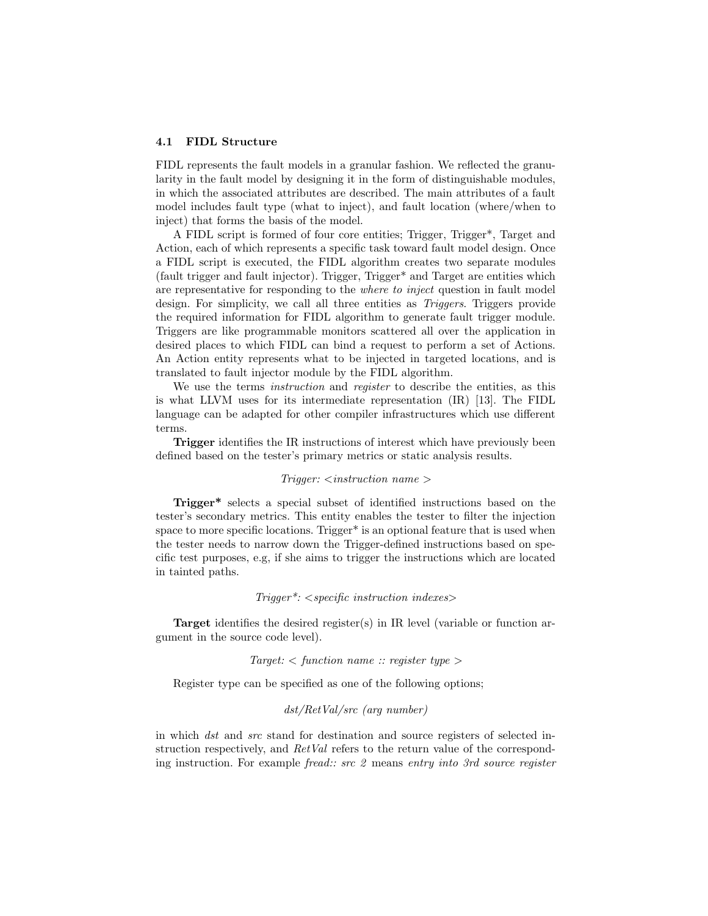#### 4.1 FIDL Structure

FIDL represents the fault models in a granular fashion. We reflected the granularity in the fault model by designing it in the form of distinguishable modules, in which the associated attributes are described. The main attributes of a fault model includes fault type (what to inject), and fault location (where/when to inject) that forms the basis of the model.

A FIDL script is formed of four core entities; Trigger, Trigger\*, Target and Action, each of which represents a specific task toward fault model design. Once a FIDL script is executed, the FIDL algorithm creates two separate modules (fault trigger and fault injector). Trigger, Trigger\* and Target are entities which are representative for responding to the where to inject question in fault model design. For simplicity, we call all three entities as *Triggers*. Triggers provide the required information for FIDL algorithm to generate fault trigger module. Triggers are like programmable monitors scattered all over the application in desired places to which FIDL can bind a request to perform a set of Actions. An Action entity represents what to be injected in targeted locations, and is translated to fault injector module by the FIDL algorithm.

We use the terms *instruction* and *register* to describe the entities, as this is what LLVM uses for its intermediate representation (IR) [13]. The FIDL language can be adapted for other compiler infrastructures which use different terms.

Trigger identifies the IR instructions of interest which have previously been defined based on the tester's primary metrics or static analysis results.

#### $Trigger: \leq instruction \ name \geq$

Trigger\* selects a special subset of identified instructions based on the tester's secondary metrics. This entity enables the tester to filter the injection space to more specific locations. Trigger\* is an optional feature that is used when the tester needs to narrow down the Trigger-defined instructions based on specific test purposes, e.g, if she aims to trigger the instructions which are located in tainted paths.

## Trigger\*: <specific instruction indexes>

Target identifies the desired register(s) in IR level (variable or function argument in the source code level).

#### $Target:$  < function name :: register type >

Register type can be specified as one of the following options;

## dst/RetVal/src (arg number)

in which dst and src stand for destination and source registers of selected instruction respectively, and RetVal refers to the return value of the corresponding instruction. For example fread:: src 2 means entry into 3rd source register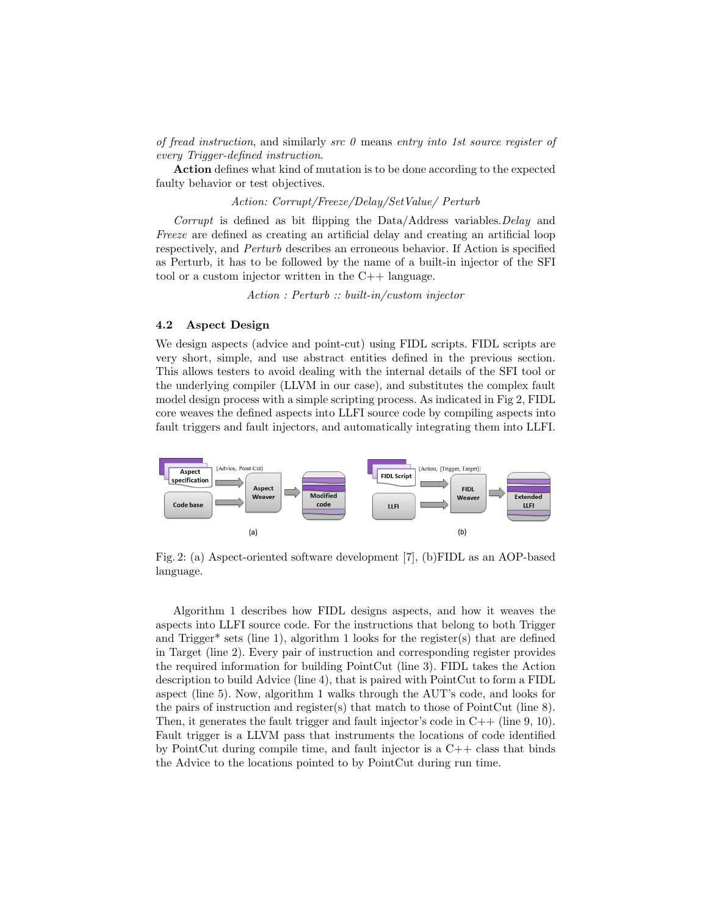of fread instruction, and similarly src  $\theta$  means entry into 1st source register of every Trigger-defined instruction.

Action defines what kind of mutation is to be done according to the expected faulty behavior or test objectives.

#### Action: Corrupt/Freeze/Delay/SetValue/ Perturb

Corrupt is defined as bit flipping the Data/Address variables. Delay and Freeze are defined as creating an artificial delay and creating an artificial loop respectively, and Perturb describes an erroneous behavior. If Action is specified as Perturb, it has to be followed by the name of a built-in injector of the SFI tool or a custom injector written in the C++ language.

Action : Perturb :: built-in/custom injector

#### 4.2 Aspect Design

We design aspects (advice and point-cut) using FIDL scripts. FIDL scripts are very short, simple, and use abstract entities defined in the previous section. This allows testers to avoid dealing with the internal details of the SFI tool or the underlying compiler (LLVM in our case), and substitutes the complex fault model design process with a simple scripting process. As indicated in Fig 2, FIDL core weaves the defined aspects into LLFI source code by compiling aspects into fault triggers and fault injectors, and automatically integrating them into LLFI.



Fig. 2: (a) Aspect-oriented software development [7], (b)FIDL as an AOP-based language.

Algorithm 1 describes how FIDL designs aspects, and how it weaves the aspects into LLFI source code. For the instructions that belong to both Trigger and Trigger<sup>\*</sup> sets (line 1), algorithm 1 looks for the register(s) that are defined in Target (line 2). Every pair of instruction and corresponding register provides the required information for building PointCut (line 3). FIDL takes the Action description to build Advice (line 4), that is paired with PointCut to form a FIDL aspect (line 5). Now, algorithm 1 walks through the AUT's code, and looks for the pairs of instruction and register(s) that match to those of PointCut (line 8). Then, it generates the fault trigger and fault injector's code in  $C_{++}$  (line 9, 10). Fault trigger is a LLVM pass that instruments the locations of code identified by PointCut during compile time, and fault injector is a C++ class that binds the Advice to the locations pointed to by PointCut during run time.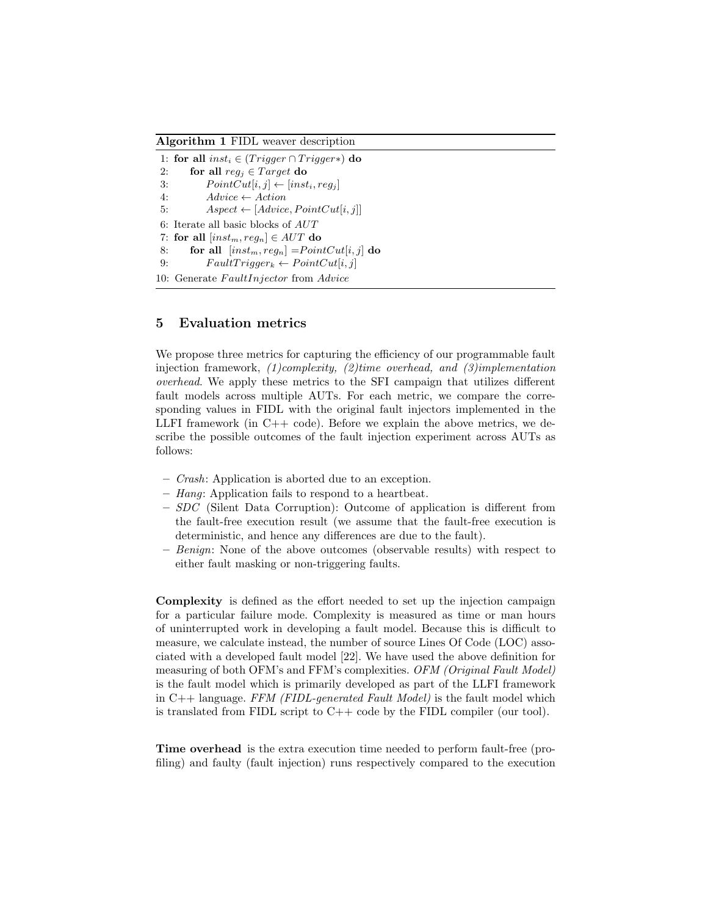Algorithm 1 FIDL weaver description

1: for all  $inst_i \in (Trigger \cap Trigger*)$  do 2: for all  $reg_j \in Target$  do 3:  $PointCut[i, j] \leftarrow [inst_i, reg_j]$ 4:  $\qquad \qquad Advice \leftarrow Action$ 5:  $Aspect \leftarrow [Advice, PointCut[i, j]]$ 6: Iterate all basic blocks of AUT 7: for all  $[inst_m, reg_n] \in AUT$  do 8: for all  $[inst_m, reg_n] = PointCut[i, j]$  do 9:  $FaultTrigger_k \leftarrow PointCut[i, j]$ 10: Generate  $FaultInjector$  from  $Advice$ 

# 5 Evaluation metrics

We propose three metrics for capturing the efficiency of our programmable fault injection framework, (1)complexity, (2)time overhead, and (3)implementation overhead. We apply these metrics to the SFI campaign that utilizes different fault models across multiple AUTs. For each metric, we compare the corresponding values in FIDL with the original fault injectors implemented in the LLFI framework (in  $C++$  code). Before we explain the above metrics, we describe the possible outcomes of the fault injection experiment across AUTs as follows:

- Crash: Application is aborted due to an exception.
- Hang: Application fails to respond to a heartbeat.
- SDC (Silent Data Corruption): Outcome of application is different from the fault-free execution result (we assume that the fault-free execution is deterministic, and hence any differences are due to the fault).
- Benign: None of the above outcomes (observable results) with respect to either fault masking or non-triggering faults.

Complexity is defined as the effort needed to set up the injection campaign for a particular failure mode. Complexity is measured as time or man hours of uninterrupted work in developing a fault model. Because this is difficult to measure, we calculate instead, the number of source Lines Of Code (LOC) associated with a developed fault model [22]. We have used the above definition for measuring of both OFM's and FFM's complexities. OFM (Original Fault Model) is the fault model which is primarily developed as part of the LLFI framework in  $C++$  language. FFM (FIDL-generated Fault Model) is the fault model which is translated from FIDL script to  $C++$  code by the FIDL compiler (our tool).

Time overhead is the extra execution time needed to perform fault-free (profiling) and faulty (fault injection) runs respectively compared to the execution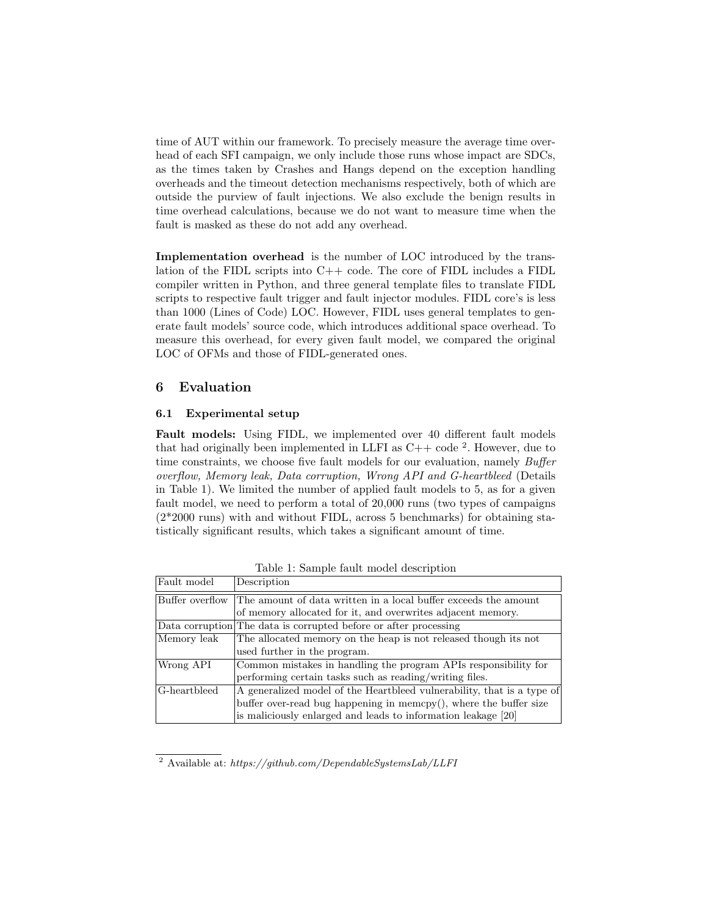time of AUT within our framework. To precisely measure the average time overhead of each SFI campaign, we only include those runs whose impact are SDCs, as the times taken by Crashes and Hangs depend on the exception handling overheads and the timeout detection mechanisms respectively, both of which are outside the purview of fault injections. We also exclude the benign results in time overhead calculations, because we do not want to measure time when the fault is masked as these do not add any overhead.

Implementation overhead is the number of LOC introduced by the translation of the FIDL scripts into C++ code. The core of FIDL includes a FIDL compiler written in Python, and three general template files to translate FIDL scripts to respective fault trigger and fault injector modules. FIDL core's is less than 1000 (Lines of Code) LOC. However, FIDL uses general templates to generate fault models' source code, which introduces additional space overhead. To measure this overhead, for every given fault model, we compared the original LOC of OFMs and those of FIDL-generated ones.

# 6 Evaluation

# 6.1 Experimental setup

Fault models: Using FIDL, we implemented over 40 different fault models that had originally been implemented in LLFI as  $C++$  code<sup>2</sup>. However, due to time constraints, we choose five fault models for our evaluation, namely Buffer overflow, Memory leak, Data corruption, Wrong API and G-heartbleed (Details in Table 1). We limited the number of applied fault models to 5, as for a given fault model, we need to perform a total of 20,000 runs (two types of campaigns (2\*2000 runs) with and without FIDL, across 5 benchmarks) for obtaining statistically significant results, which takes a significant amount of time.

| Fault model     | Description                                                            |  |  |
|-----------------|------------------------------------------------------------------------|--|--|
| Buffer overflow | The amount of data written in a local buffer exceeds the amount        |  |  |
|                 | of memory allocated for it, and overwrites adjacent memory.            |  |  |
|                 | Data corruption The data is corrupted before or after processing       |  |  |
| Memory leak     | The allocated memory on the heap is not released though its not        |  |  |
|                 | used further in the program.                                           |  |  |
| Wrong API       | Common mistakes in handling the program APIs responsibility for        |  |  |
|                 | performing certain tasks such as reading/writing files.                |  |  |
| G-heartbleed    | A generalized model of the Heartbleed vulnerability, that is a type of |  |  |
|                 | buffer over-read bug happening in memory(), where the buffer size      |  |  |
|                 | is maliciously enlarged and leads to information leakage [20]          |  |  |

Table 1: Sample fault model description

<sup>&</sup>lt;sup>2</sup> Available at: https://github.com/DependableSystemsLab/LLFI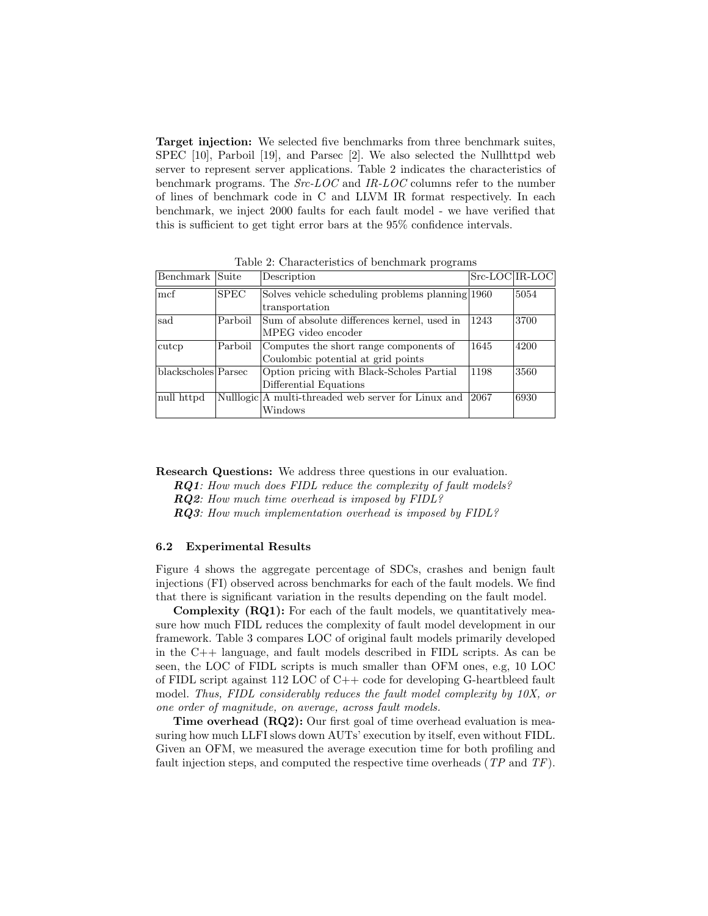Target injection: We selected five benchmarks from three benchmark suites, SPEC [10], Parboil [19], and Parsec [2]. We also selected the Nullhttpd web server to represent server applications. Table 2 indicates the characteristics of benchmark programs. The  $Src\text{-}LOC$  and  $IR\text{-}LOC$  columns refer to the number of lines of benchmark code in C and LLVM IR format respectively. In each benchmark, we inject 2000 faults for each fault model - we have verified that this is sufficient to get tight error bars at the 95% confidence intervals.

Benchmark Suite Description Src-LOC IR-LOC mcf SPEC Solves vehicle scheduling problems planning 1960 5054 transportation sad Parboil Sum of absolute differences kernel, used in 1243 3700 MPEG video encoder cutcp Parboil Computes the short range components of 1645 4200 Coulombic potential at grid points blackscholes Parsec | Option pricing with Black-Scholes Partial | 1198 | 3560 Differential Equations null httpd Nulllogic A multi-threaded web server for Linux and 2067 6930 Windows

Table 2: Characteristics of benchmark programs

Research Questions: We address three questions in our evaluation.

RQ1: How much does FIDL reduce the complexity of fault models?

RQ2: How much time overhead is imposed by FIDL?

**RQ3**: How much implementation overhead is imposed by FIDL?

#### 6.2 Experimental Results

Figure 4 shows the aggregate percentage of SDCs, crashes and benign fault injections (FI) observed across benchmarks for each of the fault models. We find that there is significant variation in the results depending on the fault model.

Complexity (RQ1): For each of the fault models, we quantitatively measure how much FIDL reduces the complexity of fault model development in our framework. Table 3 compares LOC of original fault models primarily developed in the C++ language, and fault models described in FIDL scripts. As can be seen, the LOC of FIDL scripts is much smaller than OFM ones, e.g, 10 LOC of FIDL script against 112 LOC of C++ code for developing G-heartbleed fault model. Thus, FIDL considerably reduces the fault model complexity by 10X, or one order of magnitude, on average, across fault models.

Time overhead (RQ2): Our first goal of time overhead evaluation is measuring how much LLFI slows down AUTs' execution by itself, even without FIDL. Given an OFM, we measured the average execution time for both profiling and fault injection steps, and computed the respective time overheads (TP and TF).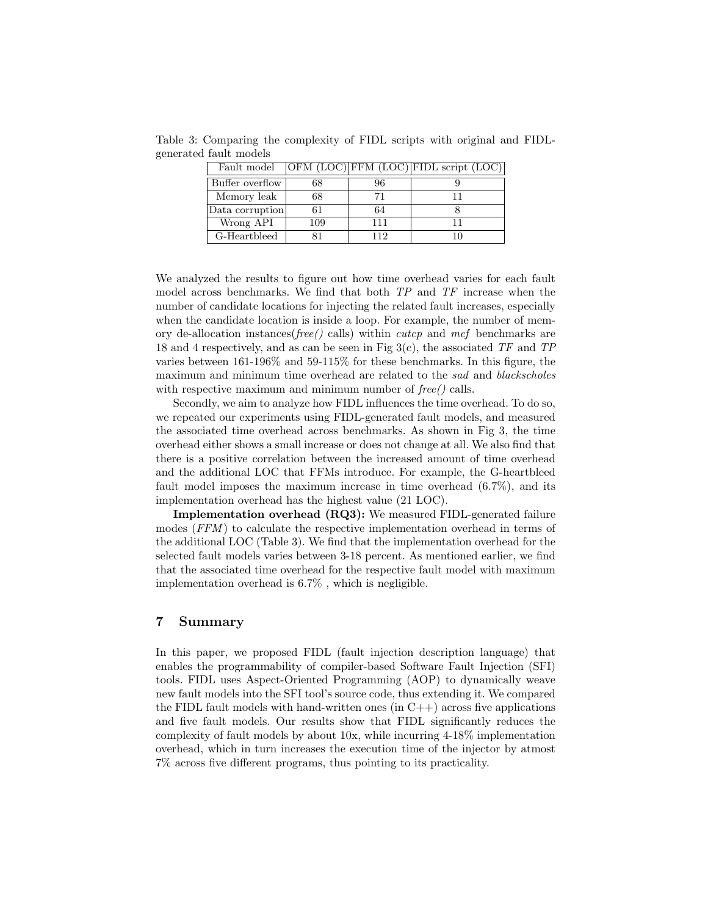Table 3: Comparing the complexity of FIDL scripts with original and FIDLgenerated fault models

|                 |     |     | Fault model OFM (LOC) FFM (LOC) FIDL script (LOC) |
|-----------------|-----|-----|---------------------------------------------------|
| Buffer overflow | 68  | 96  |                                                   |
| Memory leak     | 68  |     |                                                   |
| Data corruption | 61  | 64  |                                                   |
| Wrong API       | 109 | 111 |                                                   |
| G-Heartbleed    | 81  | 119 |                                                   |

We analyzed the results to figure out how time overhead varies for each fault model across benchmarks. We find that both TP and TF increase when the number of candidate locations for injecting the related fault increases, especially when the candidate location is inside a loop. For example, the number of memory de-allocation instances( $free()$  calls) within *cutcp* and  $mcf$  benchmarks are 18 and 4 respectively, and as can be seen in Fig  $3(c)$ , the associated TF and TP varies between 161-196% and 59-115% for these benchmarks. In this figure, the maximum and minimum time overhead are related to the sad and blackscholes with respective maximum and minimum number of *free*() calls.

Secondly, we aim to analyze how FIDL influences the time overhead. To do so, we repeated our experiments using FIDL-generated fault models, and measured the associated time overhead across benchmarks. As shown in Fig 3, the time overhead either shows a small increase or does not change at all. We also find that there is a positive correlation between the increased amount of time overhead and the additional LOC that FFMs introduce. For example, the G-heartbleed fault model imposes the maximum increase in time overhead (6.7%), and its implementation overhead has the highest value (21 LOC).

Implementation overhead (RQ3): We measured FIDL-generated failure modes (FFM) to calculate the respective implementation overhead in terms of the additional LOC (Table 3). We find that the implementation overhead for the selected fault models varies between 3-18 percent. As mentioned earlier, we find that the associated time overhead for the respective fault model with maximum implementation overhead is 6.7% , which is negligible.

# 7 Summary

In this paper, we proposed FIDL (fault injection description language) that enables the programmability of compiler-based Software Fault Injection (SFI) tools. FIDL uses Aspect-Oriented Programming (AOP) to dynamically weave new fault models into the SFI tool's source code, thus extending it. We compared the FIDL fault models with hand-written ones (in  $C_{++}$ ) across five applications and five fault models. Our results show that FIDL significantly reduces the complexity of fault models by about 10x, while incurring 4-18% implementation overhead, which in turn increases the execution time of the injector by atmost 7% across five different programs, thus pointing to its practicality.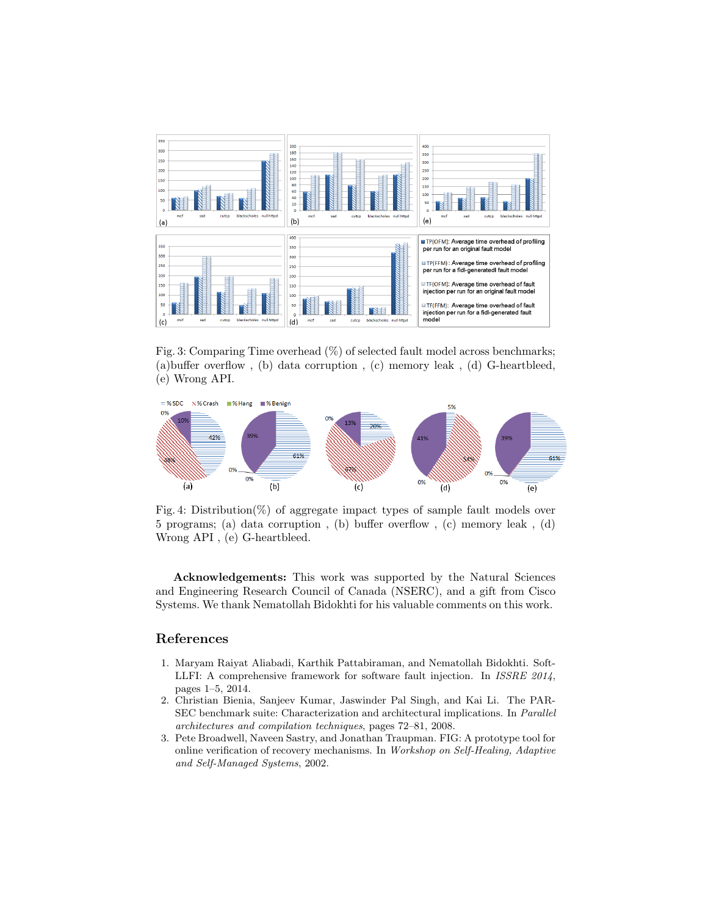

Fig. 3: Comparing Time overhead  $(\%)$  of selected fault model across benchmarks; (a)buffer overflow , (b) data corruption , (c) memory leak , (d) G-heartbleed, (e) Wrong API.



Fig. 4: Distribution( $\%$ ) of aggregate impact types of sample fault models over 5 programs; (a) data corruption , (b) buffer overflow , (c) memory leak , (d) Wrong API , (e) G-heartbleed.

Acknowledgements: This work was supported by the Natural Sciences and Engineering Research Council of Canada (NSERC), and a gift from Cisco Systems. We thank Nematollah Bidokhti for his valuable comments on this work.

# References

- 1. Maryam Raiyat Aliabadi, Karthik Pattabiraman, and Nematollah Bidokhti. Soft-LLFI: A comprehensive framework for software fault injection. In *ISSRE 2014*, pages 1–5, 2014.
- 2. Christian Bienia, Sanjeev Kumar, Jaswinder Pal Singh, and Kai Li. The PAR-SEC benchmark suite: Characterization and architectural implications. In Parallel architectures and compilation techniques, pages 72–81, 2008.
- 3. Pete Broadwell, Naveen Sastry, and Jonathan Traupman. FIG: A prototype tool for online verification of recovery mechanisms. In Workshop on Self-Healing, Adaptive and Self-Managed Systems, 2002.